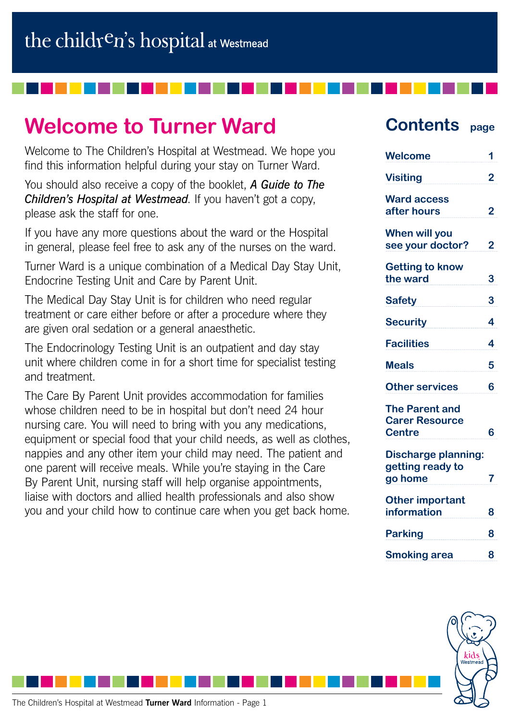# **Welcome to Turner Ward**

Welcome to The Children's Hospital at Westmead. We hope you find this information helpful during your stay on Turner Ward.

You should also receive a copy of the booklet, *A Guide to The Children's Hospital at Westmead*. If you haven't got a copy, please ask the staff for one.

If you have any more questions about the ward or the Hospital in general, please feel free to ask any of the nurses on the ward.

Turner Ward is a unique combination of a Medical Day Stay Unit, Endocrine Testing Unit and Care by Parent Unit.

The Medical Day Stay Unit is for children who need regular treatment or care either before or after a procedure where they are given oral sedation or a general anaesthetic.

The Endocrinology Testing Unit is an outpatient and day stay unit where children come in for a short time for specialist testing and treatment.

The Care By Parent Unit provides accommodation for families whose children need to be in hospital but don't need 24 hour nursing care. You will need to bring with you any medications, equipment or special food that your child needs, as well as clothes, nappies and any other item your child may need. The patient and one parent will receive meals. While you're staying in the Care By Parent Unit, nursing staff will help organise appointments, liaise with doctors and allied health professionals and also show you and your child how to continue care when you get back home.

### **Contents page**

| <b>Welcome</b>                                                  | 1 |
|-----------------------------------------------------------------|---|
| <b>Visiting</b>                                                 | 2 |
| <b>Ward access</b><br>after hours                               | 2 |
| When will you<br>see your doctor?                               | 2 |
| <b>Getting to know</b><br>the ward                              | 3 |
| <b>Safety</b>                                                   | 3 |
| <b>Security</b>                                                 | 4 |
| <b>Facilities</b>                                               | 4 |
| <b>Meals</b>                                                    | 5 |
| <b>Other services</b>                                           | 6 |
| <b>The Parent and</b><br><b>Carer Resource</b><br><b>Centre</b> | 6 |
| <b>Discharge planning:</b><br>getting ready to<br>go home       | 7 |
| <b>Other important</b><br>information                           | 8 |
| <b>Parking</b>                                                  | 8 |
| <b>Smoking area</b>                                             | 8 |
|                                                                 |   |

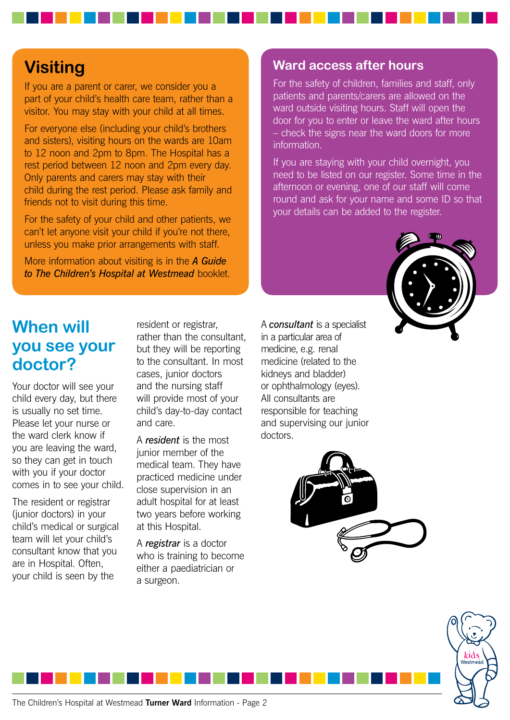## **Visiting**

If you are a parent or carer, we consider you a part of your child's health care team, rather than a visitor. You may stay with your child at all times.

For everyone else (including your child's brothers and sisters), visiting hours on the wards are 10am to 12 noon and 2pm to 8pm. The Hospital has a rest period between 12 noon and 2pm every day. Only parents and carers may stay with their child during the rest period. Please ask family and friends not to visit during this time.

For the safety of your child and other patients, we can't let anyone visit your child if you're not there, unless you make prior arrangements with staff.

More information about visiting is in the *A Guide to The Children's Hospital at Westmead* booklet.

## **When will you see your doctor?**

Your doctor will see your child every day, but there is usually no set time. Please let your nurse or the ward clerk know if you are leaving the ward, so they can get in touch with you if your doctor comes in to see your child.

The resident or registrar (junior doctors) in your child's medical or surgical team will let your child's consultant know that you are in Hospital. Often, your child is seen by the

resident or registrar, rather than the consultant, but they will be reporting to the consultant. In most cases, junior doctors and the nursing staff will provide most of your child's day-to-day contact and care.

A *resident* is the most junior member of the medical team. They have practiced medicine under close supervision in an adult hospital for at least two years before working at this Hospital.

A *registrar* is a doctor who is training to become either a paediatrician or a surgeon.

A *consultant* is a specialist in a particular area of medicine, e.g. renal medicine (related to the kidneys and bladder) or ophthalmology (eyes). All consultants are responsible for teaching and supervising our junior

information.

**Ward access after hours**

For the safety of children, families and staff, only patients and parents/carers are allowed on the ward outside visiting hours. Staff will open the door for you to enter or leave the ward after hours – check the signs near the ward doors for more

If you are staying with your child overnight, you need to be listed on our register. Some time in the afternoon or evening, one of our staff will come round and ask for your name and some ID so that

your details can be added to the register.







doctors.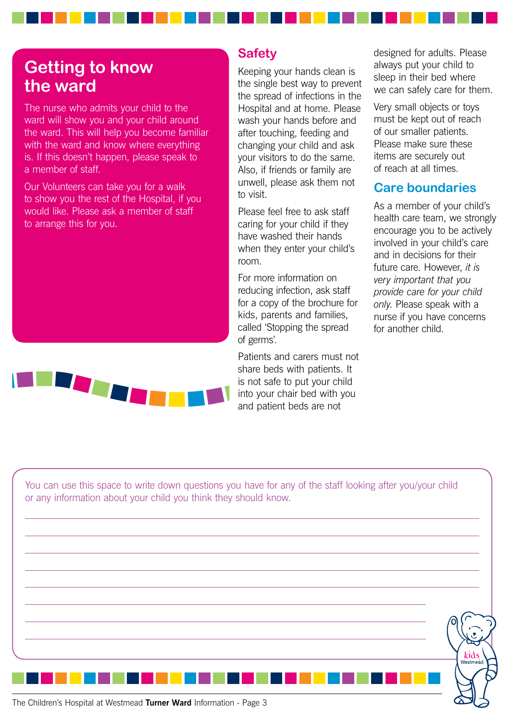## **Getting to know the ward**

The nurse who admits your child to the ward will show you and your child around the ward. This will help you become familiar with the ward and know where everything is. If this doesn't happen, please speak to a member of staff.

Our Volunteers can take you for a walk to show you the rest of the Hospital, if you would like. Please ask a member of staff to arrange this for you.



### **Safety**

Keeping your hands clean is the single best way to prevent the spread of infections in the Hospital and at home. Please wash your hands before and after touching, feeding and changing your child and ask your visitors to do the same. Also, if friends or family are unwell, please ask them not to visit.

Please feel free to ask staff caring for your child if they have washed their hands when they enter your child's room.

For more information on reducing infection, ask staff for a copy of the brochure for kids, parents and families, called 'Stopping the spread of germs'.

Patients and carers must not share beds with patients. It is not safe to put your child into your chair bed with you and patient beds are not

designed for adults. Please always put your child to sleep in their bed where we can safely care for them.

Very small objects or toys must be kept out of reach of our smaller patients. Please make sure these items are securely out of reach at all times.

### **Care boundaries**

As a member of your child's health care team, we strongly encourage you to be actively involved in your child's care and in decisions for their future care. However, *it is very important that you provide care for your child only*. Please speak with a nurse if you have concerns for another child.

The Children's Hospital at Westmead **Turner Ward** Information - Page 3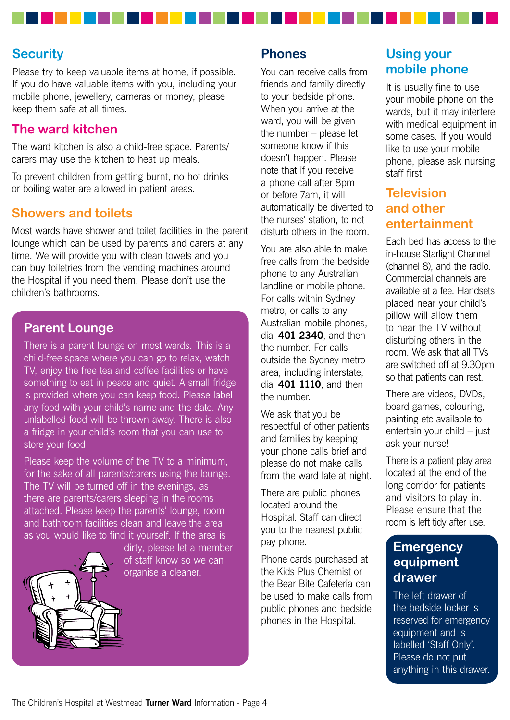#### **Security**

Please try to keep valuable items at home, if possible. If you do have valuable items with you, including your mobile phone, jewellery, cameras or money, please keep them safe at all times.

#### **The ward kitchen**

The ward kitchen is also a child-free space. Parents/ carers may use the kitchen to heat up meals.

To prevent children from getting burnt, no hot drinks or boiling water are allowed in patient areas.

#### **Showers and toilets**

Most wards have shower and toilet facilities in the parent lounge which can be used by parents and carers at any time. We will provide you with clean towels and you can buy toiletries from the vending machines around the Hospital if you need them. Please don't use the children's bathrooms.

#### **Parent Lounge**

There is a parent lounge on most wards. This is a child-free space where you can go to relax, watch TV, enjoy the free tea and coffee facilities or have something to eat in peace and quiet. A small fridge is provided where you can keep food. Please label any food with your child's name and the date. Any unlabelled food will be thrown away. There is also a fridge in your child's room that you can use to store your food

Please keep the volume of the TV to a minimum, for the sake of all parents/carers using the lounge. The TV will be turned off in the evenings, as there are parents/carers sleeping in the rooms attached. Please keep the parents' lounge, room and bathroom facilities clean and leave the area as you would like to find it yourself. If the area is



dirty, please let a member of staff know so we can organise a cleaner.

#### **Phones**

You can receive calls from friends and family directly to your bedside phone. When you arrive at the ward, you will be given the number – please let someone know if this doesn't happen. Please note that if you receive a phone call after 8pm or before 7am, it will automatically be diverted to the nurses' station, to not disturb others in the room.

You are also able to make free calls from the bedside phone to any Australian landline or mobile phone. For calls within Sydney metro, or calls to any Australian mobile phones, dial **401 2340**, and then the number. For calls outside the Sydney metro area, including interstate, dial **401 1110**, and then the number.

We ask that you be respectful of other patients and families by keeping your phone calls brief and please do not make calls from the ward late at night.

There are public phones located around the Hospital. Staff can direct you to the nearest public pay phone.

Phone cards purchased at the Kids Plus Chemist or the Bear Bite Cafeteria can be used to make calls from public phones and bedside phones in the Hospital.

### **Using your mobile phone**

It is usually fine to use your mobile phone on the wards, but it may interfere with medical equipment in some cases. If you would like to use your mobile phone, please ask nursing staff first.

### **Television and other entertainment**

Each bed has access to the in-house Starlight Channel (channel 8), and the radio. Commercial channels are available at a fee. Handsets placed near your child's pillow will allow them to hear the TV without disturbing others in the room. We ask that all TVs are switched off at 9.30pm so that patients can rest.

There are videos, DVDs, board games, colouring, painting etc available to entertain your child – just ask your nurse!

There is a patient play area located at the end of the long corridor for patients and visitors to play in. Please ensure that the room is left tidy after use.

#### **Emergency equipment drawer**

The left drawer of the bedside locker is reserved for emergency equipment and is labelled 'Staff Only'. Please do not put anything in this drawer.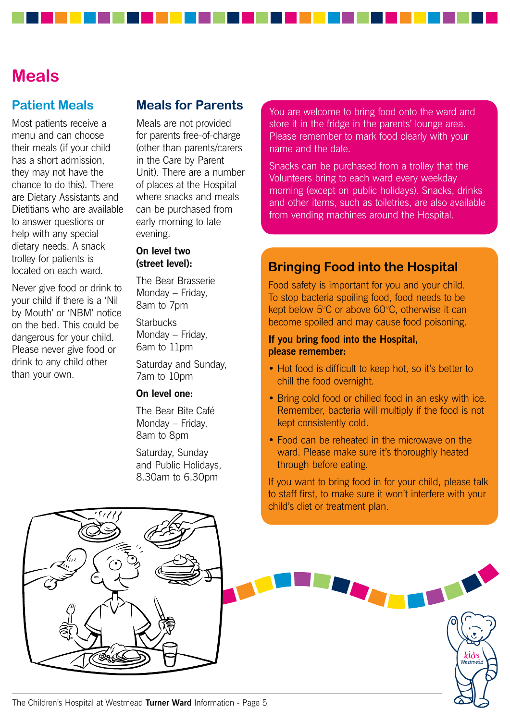## **Meals**

#### **Patient Meals**

Most patients receive a menu and can choose their meals (if your child has a short admission, they may not have the chance to do this). There are Dietary Assistants and Dietitians who are available to answer questions or help with any special dietary needs. A snack trolley for patients is located on each ward.

Never give food or drink to your child if there is a 'Nil by Mouth' or 'NBM' notice on the bed. This could be dangerous for your child. Please never give food or drink to any child other than your own.

#### **Meals for Parents**

Meals are not provided for parents free-of-charge (other than parents/carers in the Care by Parent Unit). There are a number of places at the Hospital where snacks and meals can be purchased from early morning to late evening.

#### **On level two (street level):**

The Bear Brasserie Monday – Friday, 8am to 7pm **Starbucks** 

Monday – Friday, 6am to 11pm

Saturday and Sunday, 7am to 10pm

#### **On level one:**

The Bear Bite Café Monday – Friday, 8am to 8pm

Saturday, Sunday and Public Holidays, 8.30am to 6.30pm

You are welcome to bring food onto the ward and store it in the fridge in the parents' lounge area. Please remember to mark food clearly with your name and the date.

Snacks can be purchased from a trolley that the Volunteers bring to each ward every weekday morning (except on public holidays). Snacks, drinks and other items, such as toiletries, are also available from vending machines around the Hospital.

#### **Bringing Food into the Hospital**

Food safety is important for you and your child. To stop bacteria spoiling food, food needs to be kept below 5°C or above 60°C, otherwise it can become spoiled and may cause food poisoning.

#### **If you bring food into the Hospital, please remember:**

- Hot food is difficult to keep hot, so it's better to chill the food overnight.
- Bring cold food or chilled food in an esky with ice. Remember, bacteria will multiply if the food is not kept consistently cold.
- Food can be reheated in the microwave on the ward. Please make sure it's thoroughly heated through before eating.

If you want to bring food in for your child, please talk to staff first, to make sure it won't interfere with your child's diet or treatment plan.

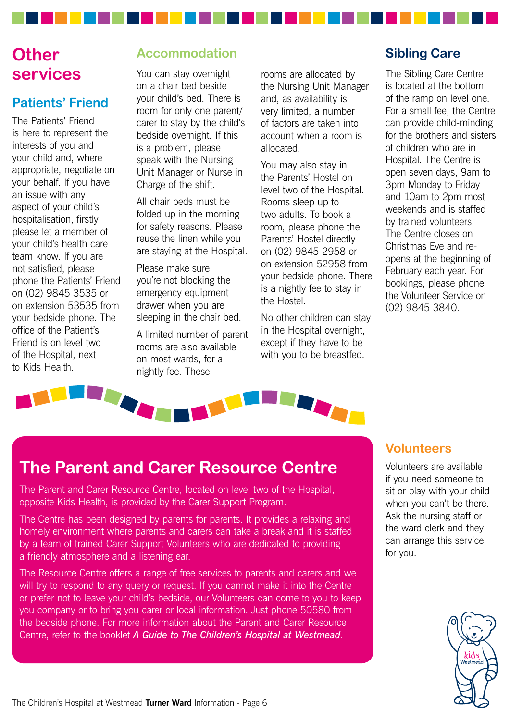## **Other services**

### **Patients' Friend**

The Patients' Friend is here to represent the interests of you and your child and, where appropriate, negotiate on your behalf. If you have an issue with any aspect of your child's hospitalisation, firstly please let a member of your child's health care team know. If you are not satisfied, please phone the Patients' Friend on (02) 9845 3535 or on extension 53535 from your bedside phone. The office of the Patient's Friend is on level two of the Hospital, next to Kids Health.

### **Accommodation**

You can stay overnight on a chair bed beside your child's bed. There is room for only one parent/ carer to stay by the child's bedside overnight. If this is a problem, please speak with the Nursing Unit Manager or Nurse in Charge of the shift.

All chair beds must be folded up in the morning for safety reasons. Please reuse the linen while you are staying at the Hospital.

Please make sure you're not blocking the emergency equipment drawer when you are sleeping in the chair bed.

A limited number of parent rooms are also available on most wards, for a nightly fee. These

rooms are allocated by the Nursing Unit Manager and, as availability is very limited, a number of factors are taken into account when a room is allocated.

You may also stay in the Parents' Hostel on level two of the Hospital. Rooms sleep up to two adults. To book a room, please phone the Parents' Hostel directly on (02) 9845 2958 or on extension 52958 from your bedside phone. There is a nightly fee to stay in the Hostel.

No other children can stay in the Hospital overnight, except if they have to be with you to be breastfed.

### **Sibling Care**

The Sibling Care Centre is located at the bottom of the ramp on level one. For a small fee, the Centre can provide child-minding for the brothers and sisters of children who are in Hospital. The Centre is open seven days, 9am to 3pm Monday to Friday and 10am to 2pm most weekends and is staffed by trained volunteers. The Centre closes on Christmas Eve and reopens at the beginning of February each year. For bookings, please phone the Volunteer Service on (02) 9845 3840.



## **The Parent and Carer Resource Centre**

The Parent and Carer Resource Centre, located on level two of the Hospital, opposite Kids Health, is provided by the Carer Support Program.

The Centre has been designed by parents for parents. It provides a relaxing and homely environment where parents and carers can take a break and it is staffed by a team of trained Carer Support Volunteers who are dedicated to providing a friendly atmosphere and a listening ear.

The Resource Centre offers a range of free services to parents and carers and we will try to respond to any query or request. If you cannot make it into the Centre or prefer not to leave your child's bedside, our Volunteers can come to you to keep you company or to bring you carer or local information. Just phone 50580 from the bedside phone. For more information about the Parent and Carer Resource Centre, refer to the booklet *A Guide to The Children's Hospital at Westmead*.

#### **Volunteers**

Volunteers are available if you need someone to sit or play with your child when you can't be there. Ask the nursing staff or the ward clerk and they can arrange this service for you.

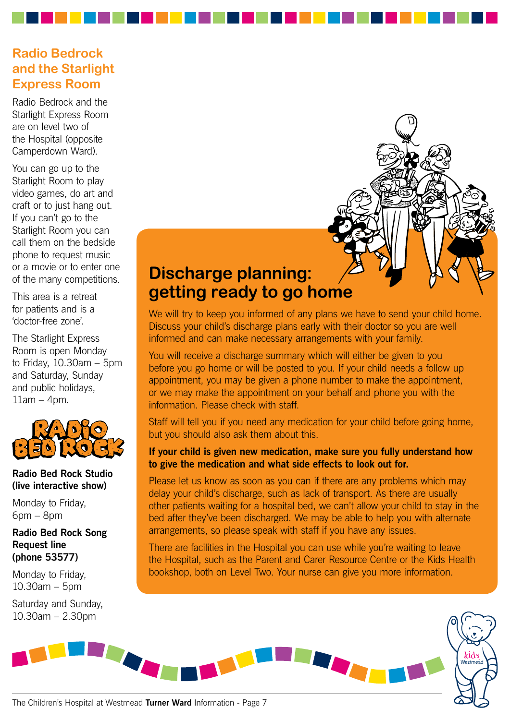### **Radio Bedrock and the Starlight Express Room**

Radio Bedrock and the Starlight Express Room are on level two of the Hospital (opposite Camperdown Ward).

You can go up to the Starlight Room to play video games, do art and craft or to just hang out. If you can't go to the Starlight Room you can call them on the bedside phone to request music or a movie or to enter one of the many competitions.

This area is a retreat for patients and is a 'doctor-free zone'.

The Starlight Express Room is open Monday to Friday, 10.30am – 5pm and Saturday, Sunday and public holidays,  $11$ am – 4pm.



#### **Radio Bed Rock Studio (live interactive show)**

Monday to Friday, 6pm – 8pm

**Radio Bed Rock Song Request line (phone 53577)**

Monday to Friday, 10.30am – 5pm

Saturday and Sunday, 10.30am – 2.30pm

## **Discharge planning: getting ready to go home**

We will try to keep you informed of any plans we have to send your child home. Discuss your child's discharge plans early with their doctor so you are well informed and can make necessary arrangements with your family.

You will receive a discharge summary which will either be given to you before you go home or will be posted to you. If your child needs a follow up appointment, you may be given a phone number to make the appointment, or we may make the appointment on your behalf and phone you with the information. Please check with staff.

Staff will tell you if you need any medication for your child before going home, but you should also ask them about this.

#### **If your child is given new medication, make sure you fully understand how to give the medication and what side effects to look out for.**

Please let us know as soon as you can if there are any problems which may delay your child's discharge, such as lack of transport. As there are usually other patients waiting for a hospital bed, we can't allow your child to stay in the bed after they've been discharged. We may be able to help you with alternate arrangements, so please speak with staff if you have any issues.

There are facilities in the Hospital you can use while you're waiting to leave the Hospital, such as the Parent and Carer Resource Centre or the Kids Health bookshop, both on Level Two. Your nurse can give you more information.